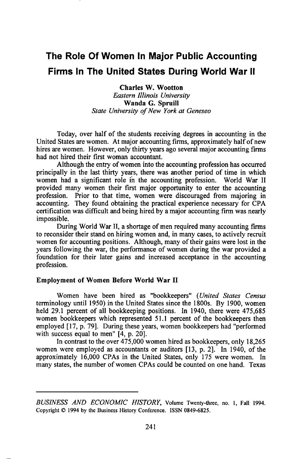# **The Role Of Women In Major Public Accounting Firms In The United States During World War II**

**Charles W. Wootton Eastern Illinois University Wanda G. Spruill State Universit• of Ne• York at Geneseo** 

**Today, over half of the students receiving degrees in accounting in the United States are women. At major accounting firms, approximately half of new hires are women. However, only thirty years ago several major accounting firms had not hired their first woman accountant.** 

**Although the entry of women into the accounting profession has occurred principally in the last thirty years, there was another period of time in which women had a significant role ih the accounting profession. World War II provided many women their first major opportunity to enter the accounting profession. Prior to that time, women were discouraged from majoring in accounting. They found obtaining the practical experience necessary for CPA certification was difficult and being hired by a major accounting firm was nearly impossible.** 

**During World War II, a shortage of men required many accounting firms to reconsider their stand on hiring women and, in many cases, to actively recruit women for accounting positions. Although, many of their gains were lost in the years following the war, the performance of women during the war provided a foundation for their later gains and increased acceptance in the accounting profession.** 

## **Employment of Women Before World War II**

**Women have been hired as "bookkeepers" (United States Census terminology until 1950) in the United States since the 1800s. By 1900, women held 29.1 percent of all bookkeeping positions. In 1940, there were 475,685 women bookkeepers which represented 51.1 percent of the bookkeepers then employed [17, p. 79]. During these years, women bookkeepers had "performed with success equal to men" [4, p. 20].** 

**In contrast to the over 475,000 women hired as bookkeepers, only 18,265 women were employed as accountants or auditors [13, p. 2]. In 1940, of the approximately 16,000 CPAs in the United States, only 175 were women. In many states, the number of women CPAs could be counted on one hand. Texas** 

**BUSINESS AND ECONOMIC HISTORY, Volume Twenty-three, no. I, Fall 1994.**  Copyright  $\odot$  1994 by the Business History Conference. ISSN 0849-6825.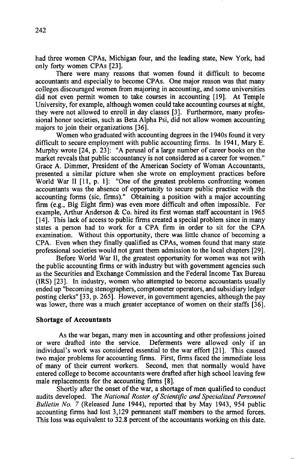**had three women CPAs, Michigan four, and the leading state, New York, had only forty women CPAs [23].** 

**There were many reasons that women found it difficult to become accountants and especially to become CPAs. One major reason was that many colleges discouraged women from majoring in accounting, and some universities did not even permit women to take courses in accounting [19]. At Temple University, for example, although women could take accounting courses at night, they were not allowed to enroll in day classes [3]. Furthermore, many professional honor societies, such as Beta Alpha Psi, did not allow women accounting majors to join their organizations [36].** 

**Women who graduated with accounting degrees in the 1940s found it very difficult to secure employment with public accounting firms. In 1941, Mary E. Murphy wrote [24, p. 23]: "A perusal of a large number of career books on the market reveals that public accountancy is not considered as a career for women." Grace A. Dimmer, President of the American Society of Woman Accountants, presented a similar picture when she wrote on employment practices before World War II [11, p. 1]: "One of the greatest problems confronting women accountants was the absence of opportunity to secure public practice with the accounting forms (sic, firms)." Obtaining a position with a major accounting firm (e.g., Big Eight firm) was even more difficult and often impossible. For example, Arthur Anderson & Co. hired its first woman staff accountant in 1965 [14]. This lack of access to public firms created a special problem since in many states a person had to work for a CPA firm in order to sit for the CPA examination. Without this opportunity, there was little chance of becoming a CPA. Even when they finally qualified as CPAs, women found that many state**  professional societies would not grant them admission to the local chapters [29].

**Before World War II, the greatest opportunity for women was not with the public accounting firms or with industry but with government agencies such as the Securities and Exchange Commission and the Federal Income Tax Bureau (IRS) [23]. In industry, women who attempted to become accountants usually ended up "becoming stenographers, comptometer operators, and subsidiary ledger posting clerks" [33, p. 265]. However, in government agencies, although the pay was lower, there was a much greater acceptance of women on their staffs [36].** 

## **Shortage of Accountants**

**As the war began, many men in accounting and other professions joined**  Deferments were allowed only if an **individual's work was considered essential to the war effort [21]. This caused two major problems for accounting firms. First, firms faced the immediate loss of many of their current workers. Second, men that normally would have**  entered college to become accountants were drafted after high school leaving few **male replacements for the accounting firms [8].** 

**Shortly after the onset of the war, a shortage of men qualified to conduct audits developed. The National Roster of Scientific and Specialized Personnel Bulletin No. 7 (Released June 1944), reported that by May 1943, 954 public accounting firms had lost 3,129 permanent staff members to the armed forces. This loss was equivalent to 32.8 percent of the accountants working on this date.**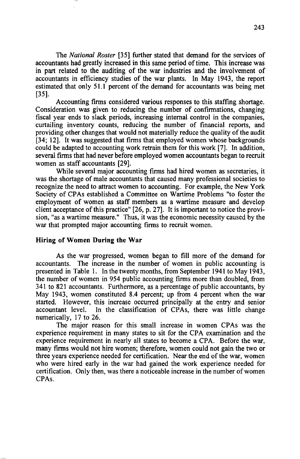**The National Roster [35] further stated that demand for the services of accountants had greatly increased in this same period of time. This increase was in part related to the auditing of the war industries and the involvement of accountants inefficiency studies of the war plants. In May 1943, the report estimated that only 51.1 percent of the demand for accountants was being met [35].** 

Accounting firms considered various responses to this staffing shortage. **Consideration was given to reducing the number of confirmations, changing fiscal year ends to slack periods, increasing internal control in the companies, curtailing inventory counts, reducing the number of financial reports, and providing other changes that would not materially reduce the quality of the audit [34; 12]. It was suggested that firms that employed women whose backgrounds could be adapted to accounting work retrain them for this work [7]. In addition, several firms that had never before employed women accountants began to recruit women as staff accountants [29].** 

**While several major accounting firms had hired women as secretaries, it**  was the shortage of male accountants that caused many professional societies to **recognize the need to attract women to accounting. For example, the New York Society of CPAs established a Committee on Wartime Problems "to foster the employment of women as staff members as a wartime measure and develop**  client acceptance of this practice" [26, p. 27]. It is important to notice the provi**sion, "as a wartime measure." Thus, it was the economic necessity caused by the war that prompted major accounting firms to recruit women.** 

#### **Hiring of Women During the War**

**As the war progressed, women began to fill more of the demand for accountants. The increase in the number of women in public accounting is presented in Table 1. In the twenty months, from September 1941 to May 1943, the number of women in 954 public accounting firms more than doubled, from 341 to 821 accountants. Furthermore, as a percentage of public accountants, by May 1943, women constituted 8.4 percent; up from 4 percent when the war started. However, this increase occurred principally at the entry and senior**  In the classification of CPAs, there was little change **numerically, 17 to 26.** 

**The major reason for this small increase in women CPAs was the experience requirement in many states to sit for the CPA examination and the experience requirement in nearly all states to become a CPA. Before the war, many firms would not hire women; therefore, women could not gain the two or three years experience needed for certification. Near the end of the war, women who were hired early in the war had gained the work experience needed for certification. Only then, was there a noticeable increase in the number of women CPAs.**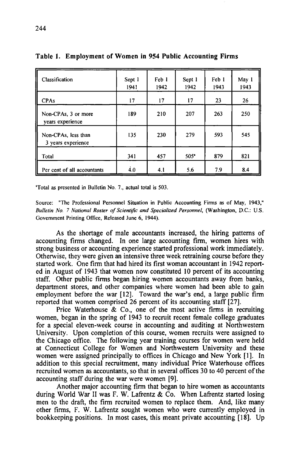| Classification                            | Sept 1<br>1941 | Feb 1<br>1942 | Sept 1<br>1942 | Feb 1<br>1943 | May 1<br>1943 |
|-------------------------------------------|----------------|---------------|----------------|---------------|---------------|
| <b>CPAs</b>                               | 17             | 17            | 17             | 23            | 26            |
| Non-CPAs, 3 or more<br>years experience   | 189            | 210           | 207            | 263           | 250           |
| Non-CPAs, less than<br>3 years experience | 135            | 230           | 279            | 593           | 545           |
| Total                                     | 341            | 457           | 505"           | 879           | 821           |
| Per cent of all accountants               | 4.0            | 4.1           | 5.6            | 7.9           | 8.4           |

**Table 1. Employment of Women in 954 Public Accounting Firms** 

**'Total as presented in Bulletin No. 7., actual total is 503.** 

**Source: "The Professional Personnel Situation in Public Accounting Firms as of May, 1943," Bulletin No. 7 National Roster of Scientific and Specialized Personnel, (Washington, D.C.: U.S. Government Printing Office, Released June 6, 1944).** 

**As the shortage of male accountants increased, the hiring patterns of accounting firms changed. In one large accounting firm, women hires with strong business or accounting experience started professional work immediately. Otherwise, they were given an intensive three week retraining course before they started work. One firm that had hired its first woman accountant in 1942 reported in August of 1943 that women now constituted 10 percent of its accounting staff. Other public firms began hiring women accountants away from banks, department stores, and other companies where women had been able to gain employment before the war [12]. Toward the war's end, a large public firm reported that women comprised 26 percent of its accounting staff [27].** 

**Price Waterhouse & Co., one of the most active firms in recruiting women, began in the spring of 1943 to recruit recent female college graduates for a special eleven-week course in accounting and auditing at Northwestern University. Upon completion of this course, women recruits were assigned to the Chicago office. The following year training courses for women were held at Connecticut College for Women and Northwestern University and these women were assigned principally to offices in Chicago and New York [1]. In addition to this special recruitment, many individual Price Waterhouse offices recruited women as accountants, so that in several offices 30 to 40 percent of the accounting staff during the war were women [9].** 

**Another major accounting firm that began to hire women as accountants during World War II was F. W. Lafrentz & Co. When Lafrentz started losing men to the draft, the firm recruited women to replace them. And, like many other firms, F. W. Lafrentz sought women who were currently employed in bookkeeping positions. In most cases, this meant private accounting [18]. Up**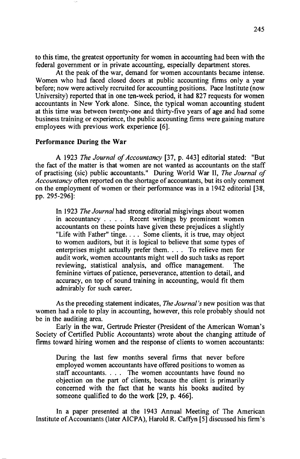**to this time, the greatest opportunity for women in accounting had been with the federal government or in private accounting, especially department stores.** 

**At the peak of the war, demand for women accountants became intense. Women who had faced closed doors at public accounting firms only a year before; now were actively recruited for accounting positions. Pace Institute (now University) reported that in one ten-week period, it had 827 requests for women accountants inNew York alone. Since, the typical woman accounting student at this time was between twenty-one and thirty-five years of age and had some business training or experience, the public accounting firms were gaining mature employees with previous work experience [6].** 

#### **Performance During the War**

**A 1923 The Journal of Accountancy [37, p. 443] editorial stated: "But the fact of the matter is that women are not wanted as accountants on the staff of practising (sic) public accountants." During World War II, The Journal of Accountancy often reported on the shortage of accountants, but its only comment on the employment of women or their performance was in a 1942 editorial [38, pp. 295-296]:** 

**In 1923 The Journal had strong editorial misgivings about women in accountancy .... Recent writings by prominent women accountants on these points have given these prejudices aslightly "Life with Father" tinge .... Some clients, it is true, may object to women auditors, but it is logical to believe that some types of enterprises might actually prefer them .... To relieve men for audit work, women accountants might well do such tasks as report**  reviewing, statistical analysis, and office management. **feminine virtues of patience, perseverance, attention to detail, and accuracy, on top of sound training in accounting, would fit them admirably for such career,** 

**As the preceding statement indicates, The Journal's new position was that women had a role to play in accounting, however, this role probably should not be in the auditing area.** 

**Early in the war, Gertrude Priester (President of the American Woman's Society of Certified Public Accountants) wrote about the changing attitude of firms toward hiring women and the response of clients to women accountants:** 

**During the last few months several firms that never before employed women accountants have offered positions to women as staff accountants .... The women accountants have found no objection on the part of clients, because the client is primarily concerned with the fact that he wants his books audited by someone qualified to do the work [29, p. 466].** 

**In a paper presented at the 1943 Annual Meeting of The American Institute of Accountants (later AICPA), Harold R. Caffyn [5] discussed his firm's**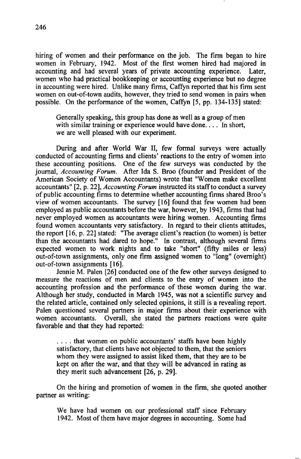**hiring of women and their performance on the job. The firm began to hire women in February, 1942. Most of the first women hired had majored in**  accounting and had several years of private accounting experience. **women who had practical bookkeeping or accounting experience but no degree in accounting were hired. Unlike many firms, Caffyn reported that his firm sent women on out-of-town audits, however, they tried to send women in pairs when possible. On the performance of the women, Caffyn [5, pp. 134-135] stated:** 

**Generally speaking, this group has done as well as a group of men**  with similar training or experience would have done... In short, **we are well pleased with our experiment.** 

**During and after World War II, few formal surveys were actually conducted of accounting firms and clients' reactions to the entry of women into these accounting positions. One of the few surveys was conducted by the journal, Accounting Forum. After Ida S. Broo (founder and President of the American Society of Women Accountants) wrote that "Women make excellent accountants" [2, p. 22], Accounting Forum instructed its staff to conduct asurvey of public accounting firms to determine whether accounting firms shared Broo's view of women accountants. The survey [16] found that few women had been employed as public accountants before the war, however, by 1943, firms that had never employed women as accountants were hiring women. Accounting firms found women accountants very satisfactory. In regard to their clients attitudes, the report [16, p. 22] stated: "The average client's reaction (to women) is better than the accountants had dared to hope." In contrast, although several firms expected women to work nights and to take "short" (fifty miles or less) out-of-town assignments, only one firm assigned women to "long" (overnight) out-of-town assignments [16].** 

**Jennie M. Palen [26] conducted one of the few other surveys designed to measure the reactions of men and clients to the entry of women into the accounting profession and the performance of these women during the war. Although her study, conducted in March 1945, was not a scientific survey and the related article, contained only selected opinions, it still is a revealing report. Palen questioned several partners in major firms about their experience with Overall, she stated the partners reactions were quite favorable and that they had reported:** 

**.... that women on public accountants' staffs have been highly satisfactory, that clients have not objected to them, that the seniors whom they were assigned to assist liked them, that they are to be kept on after the war, and that they will be advanced in rating as they merit such advancement [26, p. 29].** 

**On the hiring and promotion of women in the firm, she quoted another partner as writing:** 

**We have had women on our professional staff since February 1942. Most of them have major degrees in accounting. Some had**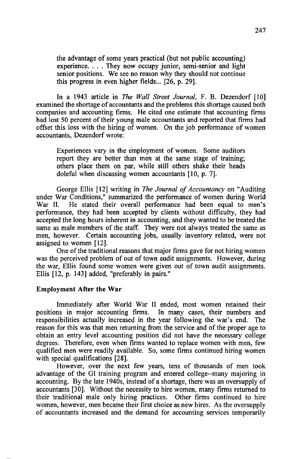**the advantage of some years practical (but not public accounting) experience .... They now occupy junior, semi-senior and light senior positions. We see no reason why they should not continue this progress in even higher fields... [26, p. 29].** 

**In a 1943 article in The Wall Street Journal, F. B. Dezendorf [10] examined the shortage of accountants and the problems this shortage caused both companies and accounting firms. He cited one estimate that accounting firms had lost 50 percent of their young male accountants and reported that firms had offset this loss with the hiring of women. On the job performance of women accountants, Dezendorf wrote:** 

**Experiences vary in the employment of women. Some auditors report they are better than men at the same stage of training; others place them on par, while still others shake their heads doleful when discussing women accountants [10, p. 7].** 

**George Ellis [12] writing in The Journal of Accountancy on "Auditing under War Conditions," summarized the performance of women during World**  He stated their overall performance had been equal to men's **performance, they had been accepted by clients without difficulty, they had accepted the long hours inherent in accounting, and they wanted to be treated the same as male members of the staff. They were not always treated the same as men, however. Certain accounting jobs, usually inventory related, were not assigned to women [12].** 

**One of the traditional reasons that major firms gave for not hiring women was the perceived problem of out of town audit assignments. However, during the war, Ellis found some women were given out of town audit assignments. Ellis [12, p. 143] added, "preferably in pairs."** 

#### **Employment After the War**

**Immediately after World War II ended, most women retained their positions in major accounting firms. In many cases, their numbers and responsibilities actually increased in the year following the war's end. The reason for this was that men returning from the service and of the proper age to obtain an entry level accounting position did not have the necessary college degrees. Therefore, even when firms wanted to replace women with men, few qualified men were readily available. So, some firms continued hiring women with special qualifications [28].** 

**However, over the next few years, tens of thousands of men took advantage of the GI training program and entered college--many majoring in accounting. By the late 1940s, instead of a shortage, there was an oversupply of accountants [30]. Without the necessity to hire women, many firms returned to their traditional male only hiring practices. Other firms continued to hire women, however, men became their first choice as new hires. As the oversupply of accountants increased and the demand for accounting services temporarily**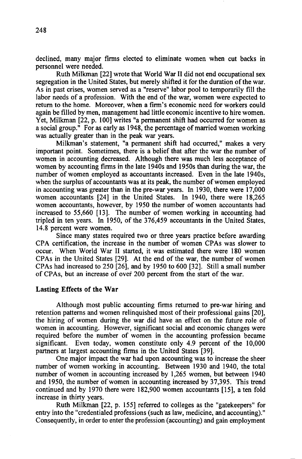**declined, many major firms elected to eliminate women when cut backs in personnel were needed.** 

**Ruth Milkman [22] wrote that World War II did not end occupational sex segregation in the United States, but merely shifted it for the duration of the war. As in past crises, women served as a "reserve" labor pool to temporarily fill the labor needs of a profession. With the end of the war, women were expected to return to the home. Moreover, when a firm's economic need for workers could again be filled by men, management had little economic incentive to hire women. Yet, Milkman [22, p. 100] writes "a permanent shift had occurred for women as**  a social group." For as early as 1948, the percentage of married women working **was actually greater than in the peak war years.** 

**Milkman's statement, "a permanent shift had occurred," makes a very important point. Sometimes, there is a belief that after the war the number of women in accounting decreased. Although there was much less acceptance of women by accounting firms in the late 1940s and 1950s than during the war, the number of women employed as accountants increased. Even in the late 1940s, when the surplus of accountants was at its peak, the number of women employed in accounting was greater than in the pre-war years. In 1930, there were 17,000 women accountants [24] in the United States. In 1940, there were 18,265 women accountants, however, by 1950 the number of women accountants had increased to 55,660 [13]. The number of women working in accounting had tripled in ten years. In 1950, of the 376,459 accountants in the United States, 14.8 percent were women.** 

**Since many states required two or three years practice before awarding CPA certification, the increase in the number of women CPAs was slower to occur. When World War II started, it was estimated there were 180 women CPAs in the United States [29]. At the end of the war, the number of women CPAs had increased to 250 [26], and by 1950 to 600 [32]. Still a small number**  of CPAs, but an increase of over 200 percent from the start of the war.

#### **Lasting Effects of the War**

**Although most public accounting firms returned to pre-war hiring and retention patterns and women relinquished most of their professional gains [20], the hiring of women during the war did have an effect on the future role of women in accounting. However, significant social and economic changes were required before the number of women in the accounting profession became**  Even today, women constitute only 4.9 percent of the 10,000 **partners at largest accounting firms in the United States [39].** 

One major impact the war had upon accounting was to increase the sheer **number of women working in accounting. Between 1930 and 1940, the total number of women in accounting increased by 1,265 women, but between 1940 and 1950, the number of women in accounting increased by 37,395. This trend continued and by 1970 there were 182,900 women accountants [15], a ten fold increase in thirty years.** 

**Ruth Milkman [22, p. 155] referred to colleges as the "gatekeepers" for entry into the "credentialed professions (such as law, medicine, and accounting)."**  Consequently, in order to enter the profession (accounting) and gain employment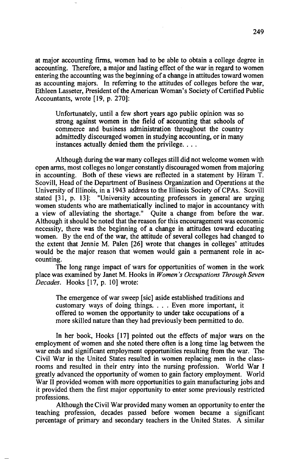**at major accounting firms, women had to be able to obtain a college degree in accounting. Therefore, a major and lasting effect of the war in regard to women entering the accounting was the beginning of a change in attitudes toward women as accounting majors. In referring to the attitudes of colleges before the war, Ethleen Lasseter, President of the American Woman's Society of Certified Public Accountants, wrote [19, p. 270]:** 

**Unfortunately, until a few short years ago public opinion was so strong against women in the field of accounting that schools of**  commerce and business administration throughout the country **admittedly discouraged women in studying accounting, or in many instances actually denied them the privilege ....** 

Although during the war many colleges still did not welcome women with **open arms, most colleges no longer constantly discouraged women from majoring in accounting. Both of these views are reflected in a statement by Hiram T. Scovill, Head of the Department of Business Organization and Operations at the**  University of Illinois, in a 1943 address to the Illinois Society of CPAs. Scovill stated [31, p. 13]: "University accounting professors in general are urging "University accounting professors in general are urging women students who are mathematically inclined to major in accountancy with **a view of alleviating the shortage." Quite a change from before the war. Although it should be noted that the reason for this encouragement was economic necessity, there was the beginning of a change in attitudes toward educating women. By the end of the war, the attitude of several colleges had changed to the extent that Jennie M. Palen [26] wrote that changes in colleges' attitudes would be the major reason that women would gain a permanent role in accounting.** 

**The long range impact of wars for opportunities of women in the work place was examined by Janet M. Hooks in Y/omen's Occupations Through Seven Decades. Hooks [17, p. 10] wrote:** 

**The emergence of war sweep [sic] aside established traditions and customary ways of doing things .... Even more important, it offered to women the opportunity to under take occupations of a more skilled nature than they had previously been permitted to do.** 

**In her book, Hooks [17] pointed out the effects of major wars on the employment of women and she noted there often is a long time lag between the war ends and significant employment opportunities resulting from the war. The Civil War in the United States resulted in women replacing men in the classrooms and resulted in their entry into the nursing profession. World War I greatly advanced the opportunity of women to gain factory employment. World War II provided women with more opportunities togain manufacturing jobs and it provided them the first major opportunity to enter some previously restricted professions.** 

**Although the Civil War provided many women an opportunity to enter the teaching profession, decades passed before women became a significant percentage of primary and secondary teachers in the United States. A similar**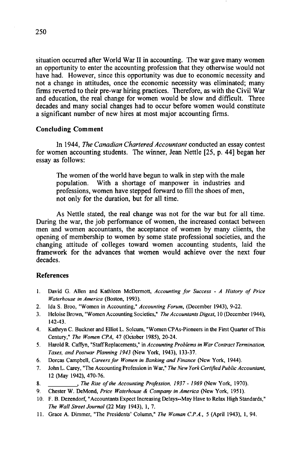**situation occurred after World War II in accounting. The war gave many women an opportunity to enter the accounting profession that they otherwise would not have had. However, since this opportunity was due to economic necessity and not a change in attitudes, once the economic necessity was eliminated; many firms reverted to their pre-war hiring practices. Therefore, as with the Civil War and education, the real change for women would be slow and difficult. Three decades and many social changes had to occur before women would constitute a significant number of new hires at most major accounting firms.** 

## **Concluding Comment**

In 1944, The Canadian Chartered Accountant conducted an essay contest **for women accounting students. The winner, Jean Nettle [25, p. 44] began her essay as follows:** 

**The women of the world have begun to walk in step with the male population. With a shortage of manpower in industries and professions, women have stepped forward to fill the shoes of men, not only for the duration, but for all time.** 

**As Nettle stated, the real change was not for the war but for all time. During the war, the job performance of women, the increased contact between men and women accountants, the acceptance of women by many clients, the opening of membership to women by some state professional societies, and the changing attitude of colleges toward women accounting students, laid the framework for the advances that women would achieve over the next four decades.** 

## **References**

- **1. David G. Allen and Kathleen McDermott, Accounting for Success A History of Price Waterhouse in America (Boston, 1993).**
- **2. Ida S. Broo, "Women in Accounting," Accounting Forum, (December 1943), 9-22.**
- **3. Heloise Brown, "Women Accounting Societies," The Accountants Digest, 10 (December 1944), 142-43.**
- **4. Kathryn C. Buckner and Elliot L. Soleurn, "Women CPAs-Pioneers in the First Quarter of This**  Century," The Women CPA, 47 (October 1985), 20-24.
- 5. Harold R. Caffyn, "Staff Replacements," in Accounting Problems in War Contract Termination, **Taxes, and Postwar Planning 1943 {New York, 1943), 133-37.**
- **6. Dorcas Campbell, Careers for Women in Banking and Finance (New York, 1944).**<br>**7. John L. Carey. "The Accountine Profession in War." The New York Certified Public Act.**
- **7. John L. Carey, "The Accounting Profession in War," The New York Certified Public Accountant, 12 (May 1942), 470-76.**
- **8. , The Rise of the Accounting Profession, 1937 1969 {New York, 1970).**
- 9. Chester W. DeMond, Price Waterhouse & Company in America (New York, 1951).
- **10. F.B. Dezendorf, "Accountants Expect Increasing Delays--May Have to Relax High Standards," The Wall Street Journal (22 May 1943), 1, 7.**
- **11. Grace A. Dimmer, "The Presidents' Column," The Woman C.P.A., 5 (April 1943), 1, 94.**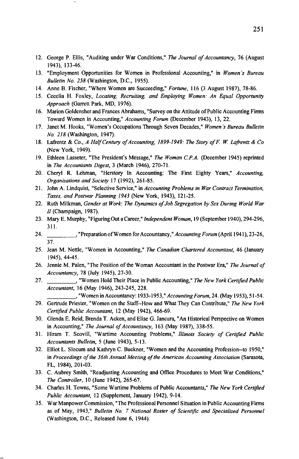- **12. George P. Ellis, "Auditing under War Conditions," The Journal of Accountancy, 76 (August 1943), 133-46.**
- **13. "Employment Opportunities for Women in Professional Accounting," in Women's Bureau Bulletin No. 258 (Washington, D.C., 1955).**
- **14. Anne B. Fischer, "Where Women are Succeeding," Fortune, 116 (3 August 1987), 78-86.**
- **15. Cecelia H. Foxley, Locating, Recruiting, and Employing Women: An Equal Opportunity Approach (Garrett Park, MD, 1976).**
- **16. Marion Goldensher and Frances Abrahams, "Survey on the Attitude of Public Accounting Firms Toward Women in Accounting," Accounting Forum (December 1943), 13, 22.**
- **17. Janet M. Hooks, "Women's Occupations Through Seven Decades," Women's Bureau Bulletin No. 218 (Washington, 1947).**
- 18. Lafrentz & Co., A Half Century of Accounting, 1899-1949: The Story of F. W. Lafrentz & Co. **(New York, 1949).**
- **19. Ethleen Lasseter, "The President's Message," The Woman C.P.A. (December 1945) reprinted in The Accountants Digest, 3 (March 1946), 270-71.**
- **20. Cheryl R. Lehman, "Herstory In Accounting: The First Eighty Years," Accounting, Organizations and Society 17 (1992), 261-85.**
- **2 I. John A. Lindquist, "Selective Service," in Accounting Problems in War Contract Termination, Taxes, and Postwar Planning 1943 (New York, 1943), 121-25.**
- **22. Ruth Milkman, Gender at Work: The Dynamics of Job Segregation by Sex During World War //(Champaign, 1987).**
- **23. Mary E. Murphy, "Figuring Out a Career," Independent Woman, 19 (September 1940), 294-296, 311.**
- **24. , "Preparation of Women for Accountancy," Accounting Forum (April 194 I), 23-26, 37.**
- **25. Jean M. Nettle, "Women in Accounting," The Canadian Chartered Accountant, 46 (January 1945), 44-45.**
- **26. Jennie M. Palen, "The Position of the Woman Accountant in the Postwar Era," The Journal of Accountancy, 78 (July 1945), 27-30.**
- **27. , "Women Hold Their Place in Public Accounting," The New York Certified Public Accountant, 16 (May 1946), 243-245, 228.**

**, "Women in Accountancy: 1933-1953," AccountingForum, 24. (May 1953), 51-54.** 

- **29. Gertrude Priester, "Women on the Staff--How and What They Can Contribute," The New York Certified Public Accountant, 12 (May 1942), 466-69.**
- **30. Glenda E. Reid, Brenda T. Acken, and Elise G. Jancura, "An Historical Perspective on Women in Accounting," The Journal of Accountancy, 163 (May 1987), 338-55.**
- **31. Hiram T. Scovill, "Wartime Accounting Problems," Illinois Society of Certified Public Accountants Bulletin, 5 (June 1943), 5-13.**
- **32. Elliot L. Slocum and Kathryn C. Buckner, "Women and the Accounting Profession--to 1950," in Proceedings of the 36th Annual Meeting of the American Accounting Association (Sarasota, FL, 1984), 201-03.**
- **33. C. Aubrey Smith, "Readjusting Accounting and Office Procedures to Meet War Conditions," The Controller, 10 (June 1942), 265-67.**
- **34. Charles H. Towns, "Some Wartime Problems of Public Accountants," The New York Certified Public Accountant, 12 (Supplement, January 1942), 9-14.**
- **35. War Manpower Commission, "The Professional Personnel Situation in Public Accounting Firms as of May, 1943," Bulletin No. 7 National Roster of Scientific and Specialized Personnel (Washington, D.C., Released June 6, 1944).**